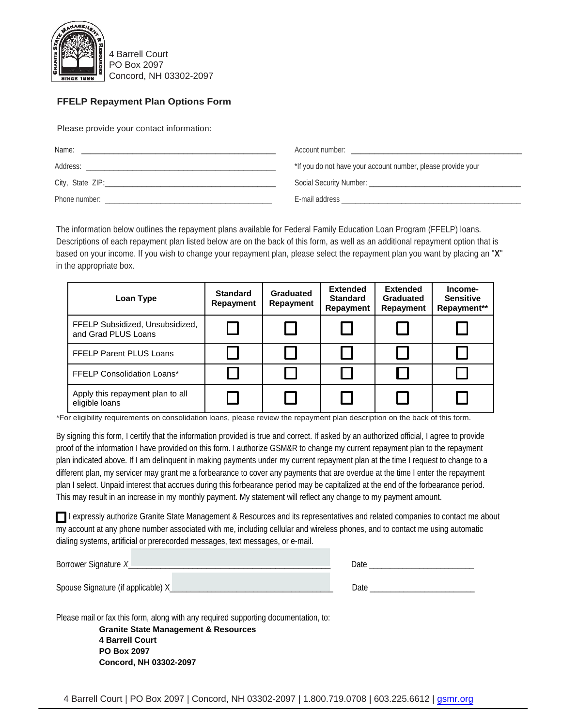

4 Barrell Court PO Box 2097 Concord, NH 03302-2097

## **FFELP Repayment Plan Options Form**

Please provide your contact information:

| Name:            | Account number:                                              |
|------------------|--------------------------------------------------------------|
| Address:         | *If you do not have your account number, please provide your |
| City, State ZIP: | Social Security Number: Social Security Number:              |
| Phone number:    | E-mail address                                               |

The information below outlines the repayment plans available for Federal Family Education Loan Program (FFELP) loans. Descriptions of each repayment plan listed below are on the back of this form, as well as an additional repayment option that is based on your income. If you wish to change your repayment plan, please select the repayment plan you want by placing an "**X**" in the appropriate box.

| Loan Type                                              | <b>Standard</b><br>Repayment | Graduated<br>Repayment | <b>Extended</b><br><b>Standard</b><br>Repayment | <b>Extended</b><br>Graduated<br>Repayment | Income-<br><b>Sensitive</b><br>Repayment** |
|--------------------------------------------------------|------------------------------|------------------------|-------------------------------------------------|-------------------------------------------|--------------------------------------------|
| FFELP Subsidized, Unsubsidized,<br>and Grad PLUS Loans |                              |                        |                                                 |                                           |                                            |
| <b>FFELP Parent PLUS Loans</b>                         |                              |                        |                                                 |                                           |                                            |
| <b>FFELP Consolidation Loans*</b>                      |                              |                        |                                                 |                                           |                                            |
| Apply this repayment plan to all<br>eligible loans     |                              |                        |                                                 |                                           |                                            |

\*For eligibility requirements on consolidation loans, please review the repayment plan description on the back of this form.

By signing this form, I certify that the information provided is true and correct. If asked by an authorized official, I agree to provide proof of the information I have provided on this form. I authorize GSM&R to change my current repayment plan to the repayment plan indicated above. If I am delinquent in making payments under my current repayment plan at the time I request to change to a different plan, my servicer may grant me a forbearance to cover any payments that are overdue at the time I enter the repayment plan I select. Unpaid interest that accrues during this forbearance period may be capitalized at the end of the forbearance period. This may result in an increase in my monthly payment. My statement will reflect any change to my payment amount.

I expressly authorize Granite State Management & Resources and its representatives and related companies to contact me about my account at any phone number associated with me, including cellular and wireless phones, and to contact me using automatic dialing systems, artificial or prerecorded messages, text messages, or e-mail.

| Borrower Signature X               |  | Date |  |
|------------------------------------|--|------|--|
| Spouse Signature (if applicable) X |  | Date |  |

Please mail or fax this form, along with any required supporting documentation, to:

**Granite State Management & Resources 4 Barrell Court PO Box 2097 Concord, NH 03302-2097**